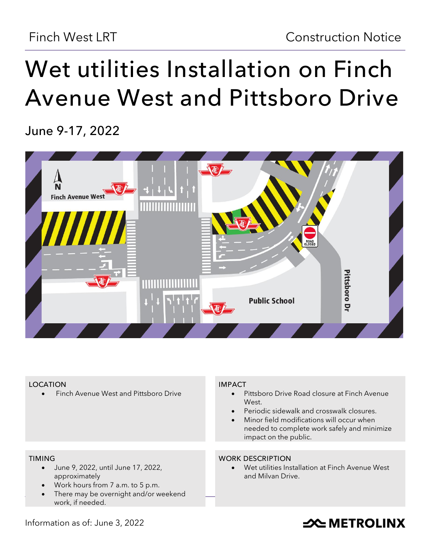# **Wet utilities Installation on Finch Avenue West and Pittsboro Drive**

**June 9-17, 2022**



#### **LOCATION**

• Finch Avenue West and Pittsboro Drive

#### **IMPACT**

- Pittsboro Drive Road closure at Finch Avenue West.
- Periodic sidewalk and crosswalk closures.
- Minor field modifications will occur when needed to complete work safely and minimize impact on the public.

#### **TIMING**

- June 9, 2022, until June 17, 2022, approximately
- Work hours from 7 a.m. to 5 p.m.
- There may be overnight and/or weekend work, if needed.

#### **WORK DESCRIPTION**

Wet utilities Installation at Finch Avenue West and Milvan Drive.

Information as of: June 3, 2022

## **SOUTHER THE METROLINX**